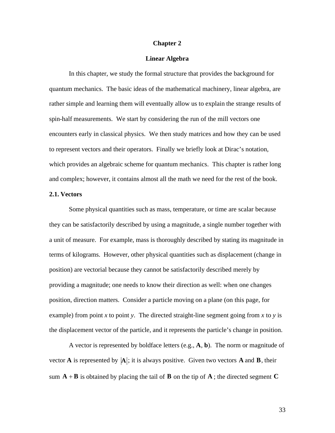#### **Chapter 2**

#### **Linear Algebra**

In this chapter, we study the formal structure that provides the background for quantum mechanics. The basic ideas of the mathematical machinery, linear algebra, are rather simple and learning them will eventually allow us to explain the strange results of spin-half measurements. We start by considering the run of the mill vectors one encounters early in classical physics. We then study matrices and how they can be used to represent vectors and their operators. Finally we briefly look at Dirac's notation, which provides an algebraic scheme for quantum mechanics. This chapter is rather long and complex; however, it contains almost all the math we need for the rest of the book.

#### **2.1. Vectors**

Some physical quantities such as mass, temperature, or time are scalar because they can be satisfactorily described by using a magnitude, a single number together with a unit of measure. For example, mass is thoroughly described by stating its magnitude in terms of kilograms. However, other physical quantities such as displacement (change in position) are vectorial because they cannot be satisfactorily described merely by providing a magnitude; one needs to know their direction as well: when one changes position, direction matters. Consider a particle moving on a plane (on this page, for example) from point *x* to point *y*. The directed straight-line segment going from *x* to *y* is the displacement vector of the particle, and it represents the particle's change in position.

A vector is represented by boldface letters (e.g., **A**, **b**). The norm or magnitude of vector **A** is represented by  $|A|$ ; it is always positive. Given two vectors **A** and **B**, their sum  $A + B$  is obtained by placing the tail of **B** on the tip of **A**; the directed segment **C** 

33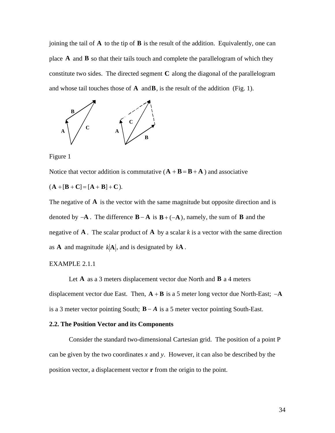joining the tail of  $\bf{A}$  to the tip of  $\bf{B}$  is the result of the addition. Equivalently, one can place **A** and **B** so that their tails touch and complete the parallelogram of which they constitute two sides. The directed segment **C** along the diagonal of the parallelogram and whose tail touches those of  $\bf{A}$  and  $\bf{B}$ , is the result of the addition (Fig. 1).



Figure 1

Notice that vector addition is commutative  $(A + B = B + A)$  and associative

 $(A + [B + C] = [A + B] + C$ .

The negative of  $\bf{A}$  is the vector with the same magnitude but opposite direction and is denoted by  $-A$ . The difference  $B - A$  is  $B + (-A)$ , namely, the sum of **B** and the negative of **A**. The scalar product of **A** by a scalar  $k$  is a vector with the same direction as **A** and magnitude  $k|\mathbf{A}|$ , and is designated by  $k\mathbf{A}$ .

#### EXAMPLE 2.1.1

Let  $\bf{A}$  as a 3 meters displacement vector due North and  $\bf{B}$  a 4 meters displacement vector due East. Then, **A** + **B** is a 5 meter long vector due North-East; -**A** is a 3 meter vector pointing South;  $B - A$  is a 5 meter vector pointing South-East.

# † **2.2. The Position Vector and its Components**

† Consider the standard two-dimensional Cartesian grid. The position of a point P can be given by the two coordinates *x* and *y*. However, it can also be described by the position vector, a displacement vector **r** from the origin to the point.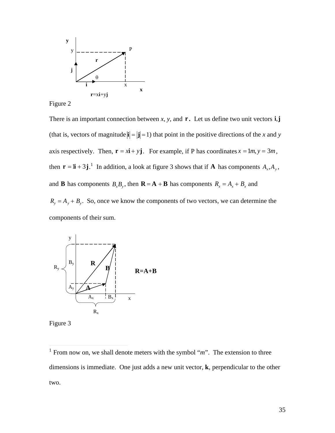



There is an important connection between *x*, *y*, and **r** *.* Let us define two unit vectors **i**,**j** (that is, vectors of magnitude  $|\mathbf{i}| = |\mathbf{j}| = 1$ ) that point in the positive directions of the *x* and *y* then  $\mathbf{r} = \mathbf{li} + 3\mathbf{j}$ .<sup>1</sup> In addition, a look at figure 3 shows that if **A** has components  $A_x, A_y$ , axis respectively. Then,  $\mathbf{r} = x\mathbf{i} + y\mathbf{j}$ . For example, if P has coordinates  $x = 1m$ ,  $y = 3m$ , and **B** has components  $B_x B_y$ , then **R** = **A** + **B** has components  $R_x = A_x + B_x$  and  $R_y = A_y + B_y$ . So, once we know the components of two vectors, we can determine the components of their sum.



Figure 3

 $\overline{a}$ 

<sup>&</sup>lt;sup>1</sup> From now on, we shall denote meters with the symbol " $m$ ". The extension to three dimensions is immediate. One just adds a new unit vector, **k**, perpendicular to the other two.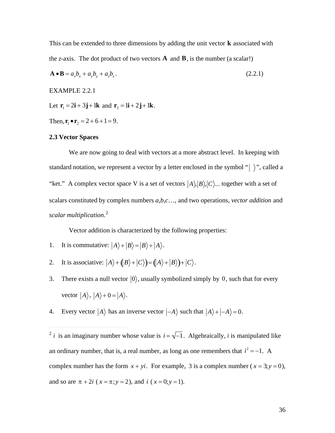This can be extended to three dimensions by adding the unit vector **k** associated with the *z*-axis. The dot product of two vectors **A** and **B**, is the number (a scalar!)

$$
\mathbf{A} \bullet \mathbf{B} = a_x b_x + a_y b_y + a_z b_z. \tag{2.2.1}
$$

EXAMPLE 2.2.1

Let  $\mathbf{r}_1 = 2\mathbf{i} + 3\mathbf{j} + 1\mathbf{k}$  and  $\mathbf{r}_2 = 1\mathbf{i} + 2\mathbf{j} + 1\mathbf{k}$ .

Then,  $\mathbf{r}_1 \bullet \mathbf{r}_2 = 2 + 6 + 1 = 9$ .

#### $\mathcal{L}^{\text{eff}}$ † **2.3 Vector Spaces**

 $\mathcal{L}(\mathcal{L})$ 

 $\overline{a}$ 

 $\mathcal{L}(\mathcal{L})$ 

We are now going to deal with vectors at a more abstract level. In keeping with standard notation, we represent a vector by a letter enclosed in the symbol " $\rangle$ ", called a † "ket." A complex vector space V is a set of vectors  $|A\rangle, |B\rangle, |C\rangle$ ... together with a set of scalars constituted by complex numbers *a*,*b*,*c*…, and two operations, *vector addition* and *scalar multiplication*. 2

Vector addition is characterized by the following properties:

- 1. It is commutative:  $|A\rangle + |B\rangle = |B\rangle + |A\rangle$ .
- 2. It is associative:  $|A\rangle + (|B\rangle + |C\rangle) = (|A\rangle + |B\rangle) + |C\rangle$ .
- $\mathbf{F}^{(n)}$ vector  $|A\rangle$ ,  $|A\rangle$  + 0 =  $|A\rangle$ . 3. There exists a null vector  $|0\rangle$ , usually symbolized simply by 0, such that for every
- $\sum_{k=1}^{n}$ 4. Every vector  $|A\rangle$  has an inverse vector  $|-A\rangle$  such that  $|A\rangle + |-A\rangle = 0$ .

 $\frac{1}{2}$ <sup>2</sup> *i* is an imaginary number whose value is  $i = \sqrt{-1}$ . Algebraically, *i* is manipulated like complex number has the form  $x + yi$ . For example, 3 is a complex number ( $x = 3; y = 0$ ), an ordinary number, that is, a real number, as long as one remembers that  $i^2 = -1$ . A and so are  $\pi + 2i$  ( $x = \pi$ ;  $y = 2$ ), and  $i$  ( $x = 0$ ;  $y = 1$ ).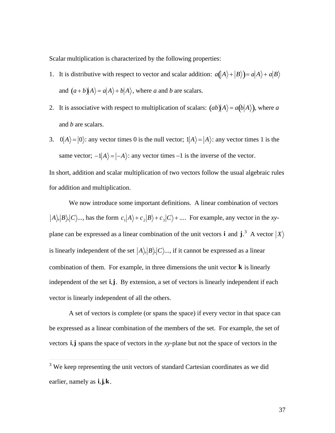Scalar multiplication is characterized by the following properties:

- 1. It is distributive with respect to vector and scalar addition:  $a(\vert A \rangle + \vert B \rangle) = a\vert A \rangle + a\vert B \rangle$ and  $(a+b)|A\rangle = a|A\rangle + b|A\rangle$ , where *a* and *b* are scalars.
- 2. It is associative with respect to multiplication of scalars:  $(ab) \overline{A} = a(b|A)$ , where *a* and *b* are scalars.
- 3.  $0|A\rangle = |0\rangle$ : any vector times 0 is the null vector;  $1|A\rangle = |A\rangle$ : any vector times 1 is the same vector;  $-1|A\rangle = |-A\rangle$ : any vector times  $-1$  is the inverse of the vector.

 $\mathbb{R}^n \times \mathbb{R}^n$  $\mathbf{r}$ for addition and multiplication. In short, addition and scalar multiplication of two vectors follow the usual algebraic rules

We now introduce some important definitions. A linear combination of vectors  $\langle A \rangle, |B \rangle, |C \rangle$ ..., has the form  $c_1 |A \rangle + c_2 |B \rangle + c_3 |C \rangle + \dots$ . For example, any vector in the *xy*is linearly independent of the set  $|A\rangle, |B\rangle, |C\rangle, ...$ , if it cannot be expressed as a linear plane can be expressed as a linear combination of the unit vectors **i** and **j**.<sup>3</sup> A vector  $|X\rangle$  $\mathbf{r}$  + independent of the set **i**,**j**. By extension, a set of vectors is linearly independent if each combination of them. For example, in three dimensions the unit vector **k** is linearly vector is linearly independent of all the others.

A set of vectors is complete (or spans the space) if every vector in that space can be expressed as a linear combination of the members of the set. For example, the set of vectors **i**,**j** spans the space of vectors in the *xy*-plane but not the space of vectors in the

 $\overline{a}$ 

<sup>&</sup>lt;sup>3</sup> We keep representing the unit vectors of standard Cartesian coordinates as we did earlier, namely as **i**,**j**,**k**.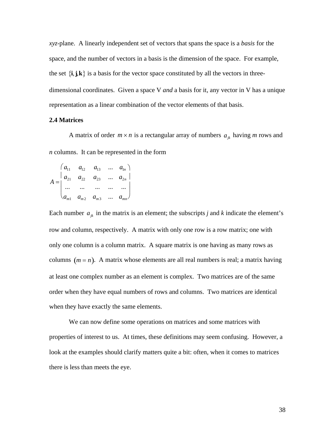*xyz*-plane. A linearly independent set of vectors that spans the space is a *basis* for the space, and the number of vectors in a basis is the dimension of the space. For example, the set  $\{i, j, k\}$  is a basis for the vector space constituted by all the vectors in threedimensional coordinates. Given a space  $V$  *and* a basis for it, any vector in  $V$  has a unique representation as a linear combination of the vector elements of that basis.

#### 2.4 Matrices

A matrix of order  $m \times n$  is a rectangular array of numbers  $a_{jk}$  having m rows and  $n$  columns. It can be represented in the form

$$
A = \begin{pmatrix} a_{11} & a_{12} & a_{13} & \dots & a_{1n} \\ a_{21} & a_{22} & a_{23} & \dots & a_{2n} \\ \dots & \dots & \dots & \dots & \dots \\ a_{m1} & a_{m2} & a_{m3} & \dots & a_{mn} \end{pmatrix}
$$

Each number  $a_{jk}$  in the matrix is an element; the subscripts j and k indicate the element's row and column, respectively. A matrix with only one row is a row matrix; one with only one column is a column matrix. A square matrix is one having as many rows as columns  $(m = n)$ . A matrix whose elements are all real numbers is real; a matrix having at least one complex number as an element is complex. Two matrices are of the same order when they have equal numbers of rows and columns. Two matrices are identical when they have exactly the same elements.

We can now define some operations on matrices and some matrices with properties of interest to us. At times, these definitions may seem confusing. However, a look at the examples should clarify matters quite a bit: often, when it comes to matrices there is less than meets the eye.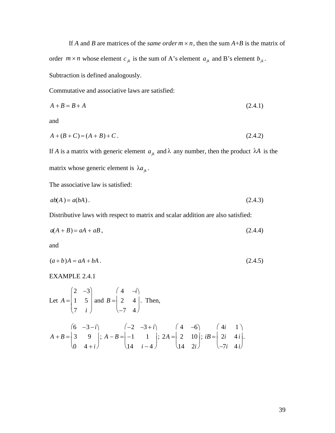If A and B are matrices of the *same order*  $m \times n$ , then the sum  $A+B$  is the matrix of order  $m \times n$  whose element  $c_{jk}$  is the sum of A's element  $a_{jk}$  and B's element  $b_{jk}$ . Subtraction is defined analogously.

Commutative and associative laws are satisfied:

$$
A + B = B + A \tag{2.4.1}
$$

and

$$
A + (B + C) = (A + B) + C. \tag{2.4.2}
$$

If A is a matrix with generic element  $a_{jk}$  and  $\lambda$  any number, then the product  $\lambda A$  is the matrix whose generic element is  $\lambda a_{ik}$ .

The associative law is satisfied:

$$
ab(A) = a(bA). \tag{2.4.3}
$$

Distributive laws with respect to matrix and scalar addition are also satisfied:

$$
a(A+B) = aA + aB, \tag{2.4.4}
$$

and

$$
(a+b)A = aA + bA. \tag{2.4.5}
$$

EXAMPLE 2.4.1

Let 
$$
A = \begin{pmatrix} 2 & -3 \ 1 & 5 \ 7 & i \end{pmatrix}
$$
 and  $B = \begin{pmatrix} 4 & -i \ 2 & 4 \ -7 & 4 \end{pmatrix}$ . Then,  
\n
$$
A + B = \begin{pmatrix} 6 & -3 - i \ 3 & 9 \ 0 & 4 + i \end{pmatrix}; A - B = \begin{pmatrix} -2 & -3 + i \ -1 & 1 \ 14 & i - 4 \end{pmatrix}; 2A = \begin{pmatrix} 4 & -6 \ 2 & 10 \ 14 & 2i \end{pmatrix}; iB = \begin{pmatrix} 4i & 1 \ 2i & 4i \ -7i & 4i \end{pmatrix}
$$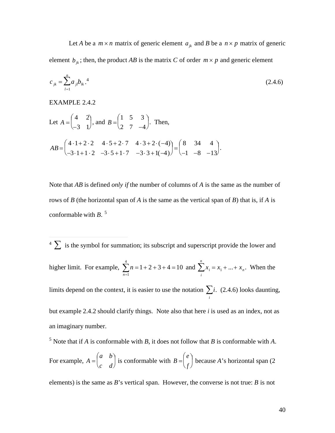Let A be a  $m \times n$  matrix of generic element  $a_{ik}$  and B be a  $n \times p$  matrix of generic element  $b_{jk}$ ; then, the product AB is the matrix C of order  $m \times p$  and generic element

$$
c_{jk} = \sum_{l=1}^{n} a_{jl} b_{lk}^{4} \tag{2.4.6}
$$

**EXAMPLE 2.4.2** 

Let 
$$
A = \begin{pmatrix} 4 & 2 \ -3 & 1 \end{pmatrix}
$$
, and  $B = \begin{pmatrix} 1 & 5 & 3 \ 2 & 7 & -4 \end{pmatrix}$ . Then,  
\n
$$
AB = \begin{pmatrix} 4 \cdot 1 + 2 \cdot 2 & 4 \cdot 5 + 2 \cdot 7 & 4 \cdot 3 + 2 \cdot (-4) \\ -3 \cdot 1 + 1 \cdot 2 & -3 \cdot 5 + 1 \cdot 7 & -3 \cdot 3 + 1(-4) \end{pmatrix} = \begin{pmatrix} 8 & 34 & 4 \\ -1 & -8 & -13 \end{pmatrix}.
$$

Note that AB is defined only if the number of columns of A is the same as the number of rows of  $B$  (the horizontal span of  $A$  is the same as the vertical span of  $B$ ) that is, if  $A$  is conformable with  $B$ .<sup>5</sup>

 $4 \sum$  is the symbol for summation; its subscript and superscript provide the lower and higher limit. For example,  $\sum_{i=1}^{4} n = 1 + 2 + 3 + 4 = 10$  and  $\sum_{i=1}^{n} x_i = x_1 + ... + x_n$ . When the limits depend on the context, it is easier to use the notation  $\sum_{i}$ . (2.4.6) looks daunting, but example 2.4.2 should clarify things. Note also that here  $i$  is used as an index, not as an imaginary number.

<sup>5</sup> Note that if A is conformable with B, it does not follow that B is conformable with A.

For example,  $A = \begin{pmatrix} a & b \\ c & d \end{pmatrix}$  is conformable with  $B = \begin{pmatrix} e \\ f \end{pmatrix}$  because A's horizontal span (2)

elements) is the same as  $B$ 's vertical span. However, the converse is not true:  $B$  is not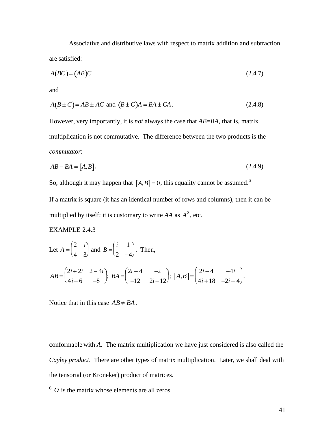Associative and distributive laws with respect to matrix addition and subtraction are satisfied:

$$
A(BC) = (AB)C \tag{2.4.7}
$$

and

$$
A(B \pm C) = AB \pm AC \text{ and } (B \pm C)A = BA \pm CA. \tag{2.4.8}
$$

However, very importantly, it is *not* always the case that  $AB = BA$ , that is, matrix multiplication is not commutative. The difference between the two products is the *commutator:* 

$$
AB - BA = [A, B]. \tag{2.4.9}
$$

So, although it may happen that  $[A, B] = 0$ , this equality cannot be assumed.<sup>6</sup>

If a matrix is square (it has an identical number of rows and columns), then it can be multiplied by itself; it is customary to write AA as  $A^2$ , etc.

#### **EXAMPLE 2.4.3**

Let 
$$
A = \begin{pmatrix} 2 & i \\ 4 & 3 \end{pmatrix}
$$
 and  $B = \begin{pmatrix} i & 1 \\ 2 & -4 \end{pmatrix}$ . Then,  
\n $AB = \begin{pmatrix} 2i + 2i & 2 - 4i \\ 4i + 6 & -8 \end{pmatrix}$ ;  $BA = \begin{pmatrix} 2i + 4 & +2 \\ -12 & 2i - 12 \end{pmatrix}$ ;  $[A, B] = \begin{pmatrix} 2i - 4 & -4i \\ 4i + 18 & -2i + 4 \end{pmatrix}$ .

Notice that in this case  $AB \neq BA$ .

conformable with  $A$ . The matrix multiplication we have just considered is also called the Cayley product. There are other types of matrix multiplication. Later, we shall deal with the tensorial (or Kroneker) product of matrices.

 $6$  O is the matrix whose elements are all zeros.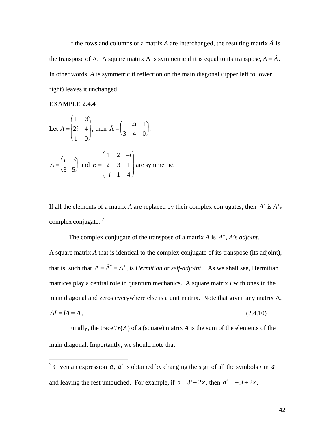If the rows and columns of a matrix A are interchanged, the resulting matrix  $\tilde{A}$  is the transpose of A. A square matrix A is symmetric if it is equal to its transpose,  $A = \tilde{A}$ . In other words, A is symmetric if reflection on the main diagonal (upper left to lower right) leaves it unchanged.

**EXAMPLE 2.4.4** 

Let 
$$
A = \begin{pmatrix} 1 & 3 \\ 2i & 4 \\ 1 & 0 \end{pmatrix}
$$
; then  $\tilde{A} = \begin{pmatrix} 1 & 2i & 1 \\ 3 & 4 & 0 \end{pmatrix}$ .  
\n
$$
A = \begin{pmatrix} i & 3 \\ 3 & 5 \end{pmatrix}
$$
 and  $B = \begin{pmatrix} 1 & 2 & -i \\ 2 & 3 & 1 \\ -i & 1 & 4 \end{pmatrix}$  are symmetric.

If all the elements of a matrix A are replaced by their complex conjugates, then  $A^*$  is  $A^*$ complex conjugate.  $^7$ 

The complex conjugate of the transpose of a matrix A is  $A^+$ , A's *adjoint*. A square matrix A that is identical to the complex conjugate of its transpose (its adjoint), that is, such that  $A = \tilde{A}^* = A^*$ , is *Hermitian* or *self-adjoint*. As we shall see, Hermitian matrices play a central role in quantum mechanics. A square matrix I with ones in the main diagonal and zeros everywhere else is a unit matrix. Note that given any matrix A,  $AI = IA = A$ .  $(2.4.10)$ 

Finally, the trace  $Tr(A)$  of a (square) matrix A is the sum of the elements of the main diagonal. Importantly, we should note that

<sup>&</sup>lt;sup>7</sup> Given an expression a,  $a^*$  is obtained by changing the sign of all the symbols i in a and leaving the rest untouched. For example, if  $a = 3i + 2x$ , then  $a^* = -3i + 2x$ .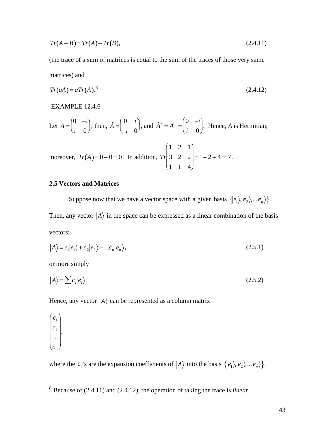$$
Tr(A+B)=Tr(A)+Tr(B), \qquad (2.4.11)
$$

(the trace of a sum of matrices is equal to the sum of the traces of those very same matrices) and

$$
Tr(aA) = aTr(A)^{8}
$$
 (2.4.12)

#### EXAMPLE 12.4.6

Let 
$$
A = \begin{pmatrix} 0 & -i \\ i & 0 \end{pmatrix}
$$
; then,  $\tilde{A} = \begin{pmatrix} 0 & i \\ -i & 0 \end{pmatrix}$ , and  $\tilde{A}^* = A^+ = \begin{pmatrix} 0 & -i \\ i & 0 \end{pmatrix}$ . Hence, A is Hermitian;

moreover,  $Tr(A) = 0 + 0 = 0$ . In addition,  $Tr\begin{pmatrix} 1 & 2 & 1 \\ 3 & 2 & 2 \\ 1 & 1 & 4 \end{pmatrix} = 1 + 2 + 4 = 7$ .

#### **2.5 Vectors and Matrices**

Suppose now that we have a vector space with a given basis  $\{ |e_1\rangle, |e_2\rangle, ...\, |e_n\rangle \}.$ 

Then, any vector  $|A\rangle$  in the space can be expressed as a linear combination of the basis vectors:

$$
|A\rangle = c_1|e_1\rangle + c_2|e_2\rangle + ... c_n|e_n\rangle, \qquad (2.5.1)
$$

or more simply

$$
|A\rangle = \sum_{i} c_i |e_i\rangle. \tag{2.5.2}
$$

Hence, any vector  $|A\rangle$  can be represented as a column matrix

 $\begin{pmatrix} c_1 \\ c_2 \\ \cdots \end{pmatrix}$ 

where the  $c_i$ 's are the expansion coefficients of  $|A\rangle$  into the basis  $\{|e_1\rangle, |e_2\rangle, ...\|e_n\rangle\}$ .

 $8$  Because of (2.4.11) and (2.4.12), the operation of taking the trace is *linear*.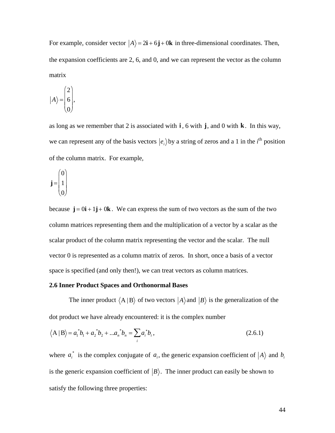For example, consider vector  $|A\rangle = 2\mathbf{i} + 6\mathbf{j} + 0\mathbf{k}$  in three-dimensional coordinates. Then, the expansion coefficients are 2, 6, and 0, and we can represent the vector as the column matrix

$$
|A\rangle = \begin{pmatrix} 2 \\ 6 \\ 0 \end{pmatrix},
$$

as long as we remember that 2 is associated with  $\mathbf{i}$ , 6 with  $\mathbf{j}$ , and 0 with  $\mathbf{k}$ . In this way, we can represent any of the basis vectors  $|e_i\rangle$  by a string of zeros and a 1 in the *i*<sup>th</sup> position of the column matrix. For example,

$$
\mathbf{j} = \begin{pmatrix} 0 \\ 1 \\ 0 \end{pmatrix}
$$

because  $\mathbf{j} = 0\mathbf{i} + 1\mathbf{j} + 0\mathbf{k}$ . We can express the sum of two vectors as the sum of the two column matrices representing them and the multiplication of a vector by a scalar as the scalar product of the column matrix representing the vector and the scalar. The null vector 0 is represented as a column matrix of zeros. In short, once a basis of a vector space is specified (and only then!), we can treat vectors as column matrices.

#### 2.6 Inner Product Spaces and Orthonormal Bases

The inner product  $\langle A | B \rangle$  of two vectors  $|A\rangle$  and  $|B\rangle$  is the generalization of the dot product we have already encountered: it is the complex number

$$
\langle A | B \rangle = a_1^* b_1 + a_2^* b_2 + \dots + a_n^* b_n = \sum_i a_i^* b_i,
$$
\n(2.6.1)

where  $a_i^*$  is the complex conjugate of  $a_i$ , the generic expansion coefficient of  $|A\rangle$  and  $b_i$ is the generic expansion coefficient of  $|B\rangle$ . The inner product can easily be shown to satisfy the following three properties: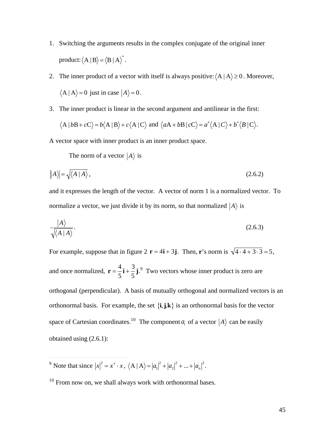- 1. Switching the arguments results in the complex conjugate of the original inner product:  $\langle A | B \rangle = \langle B | A \rangle^*$ .
- $\langle A | A \rangle = 0$  just in case  $|A \rangle = 0$ . 2. The inner product of a vector with itself is always positive:  $\langle A | A \rangle \ge 0$ . Moreover,
- † 3. The inner product is linear in the second argument and antilinear in the first:

$$
\langle A | bB + cC \rangle = b \langle A | B \rangle + c \langle A | C \rangle
$$
 and  $\langle aA + bB | cC \rangle = a^* \langle A | C \rangle + b^* \langle B | C \rangle$ .

A vector space with inner product is an inner product space.

The norm of a vector  $|A\rangle$  is

$$
\|A\| = \sqrt{\langle A \mid A \rangle} \,,\tag{2.6.2}
$$

and it expresses the length of the vector. A vector of norm 1 is a normalized vector. To normalize a vector, we just divide it by its norm, so that normalized  $|A\rangle$  is

$$
\frac{|A\rangle}{\sqrt{\langle A \mid A \rangle}}.\tag{2.6.3}
$$

For example, suppose that in figure  $2 \mathbf{r} = 4\mathbf{i} + 3\mathbf{j}$ . Then, **r**'s norm is  $\sqrt{4 \cdot 4 + 3 \cdot 3} = 5$ ,  $\overline{z}$ and once normalized,  $\mathbf{r} = \frac{4}{5}\mathbf{i} + \frac{3}{5}\mathbf{j}$ .<sup>9</sup> orthonormal basis. For example, the set  $\{\mathbf{i}, \mathbf{j}, \mathbf{k}\}\$  is an orthonormal basis for the vector  $5\quad 5$  $\mathbf{i} + \frac{3}{7} \mathbf{j}$ .<sup>9</sup> Two  $5^{\degree}$ **j**.<sup>9</sup> Two vectors whose inner product is zero are orthogonal (perpendicular). A basis of mutually orthogonal and normalized vectors is an space of Cartesian coordinates.<sup>10</sup> The component  $a_i$  of a vector  $|A\rangle$  can be easily obtained using (2.6.1):

 $\overline{a}$ <sup>9</sup> Note that since  $|x|^2 = x^* \cdot x$ ,  $\langle A | A \rangle = |a_1|^2 + |a_2|^2 + ... + |a_n|^2$ .

<sup>&</sup>lt;sup>10</sup> From now on, we shall always work with orthonormal bases.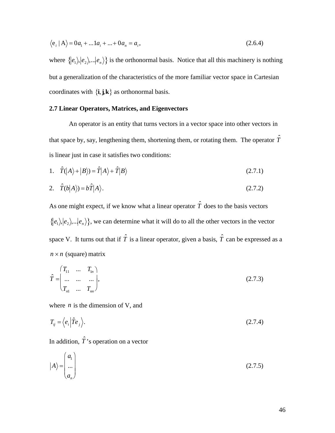$$
\langle e_i | A \rangle = 0 a_1 + ... 1 a_i + ... + 0 a_n = a_i,
$$
\n(2.6.4)

where  $\{|e_1\rangle, |e_2\rangle, ...\|e_n\rangle\}$  is the orthonormal basis. Notice that all this machinery is nothing but a generalization of the characteristics of the more familiar vector space in Cartesian coordinates with  $\{i, j, k\}$  as orthonormal basis.

#### 2.7 Linear Operators, Matrices, and Eigenvectors

An operator is an entity that turns vectors in a vector space into other vectors in that space by, say, lengthening them, shortening them, or rotating them. The operator  $\hat{T}$ is linear just in case it satisfies two conditions:

1. 
$$
\hat{T}(|A\rangle + |B\rangle) = \hat{T}|A\rangle + \hat{T}|B\rangle
$$
 (2.7.1)

$$
\hat{T}(b|A\rangle) = b\hat{T}|A\rangle. \tag{2.7.2}
$$

As one might expect, if we know what a linear operator  $\hat{T}$  does to the basis vectors  $\{ |e_1\rangle, |e_2\rangle, ...\, |e_n\rangle \}$ , we can determine what it will do to all the other vectors in the vector space V. It turns out that if  $\hat{T}$  is a linear operator, given a basis,  $\hat{T}$  can be expressed as a  $n \times n$  (square) matrix

$$
\hat{T} = \begin{pmatrix} T_{11} & \dots & T_{1n} \\ \dots & \dots & \dots \\ T_{n1} & \dots & T_{nn} \end{pmatrix},\tag{2.7.3}
$$

where  $n$  is the dimension of V, and

$$
T_{ij} = \langle e_i | \hat{T} e_j \rangle.
$$
 (2.7.4)

In addition,  $\hat{T}$ 's operation on a vector

$$
|A\rangle = \begin{pmatrix} a_1 \\ \dots \\ a_n \end{pmatrix} \tag{2.7.5}
$$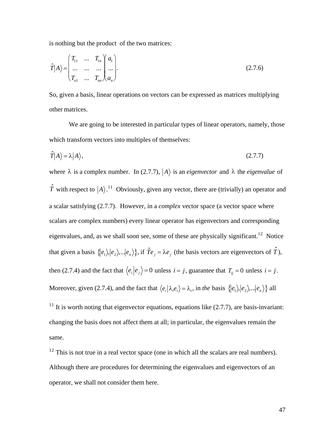is nothing but the product of the two matrices:

$$
\hat{T}|A\rangle = \begin{pmatrix} T_{11} & \dots & T_{1n} & a_1 \\ \dots & \dots & \dots & \dots \\ T_{n1} & \dots & T_{nn} & A_n \end{pmatrix} .
$$
\n(2.7.6)

So, given a basis, linear operations on vectors can be expressed as matrices multiplying other matrices.

We are going to be interested in particular types of linear operators, namely, those which transform vectors into multiples of themselves:

$$
\hat{T}|A\rangle = \lambda|A\rangle, \tag{2.7.7}
$$

where  $\lambda$  is a complex number. In (2.7.7),  $|A\rangle$  is an *eigenvector* and  $\lambda$  the *eigenvalue* of  $\hat{T}$  with respect to  $|A\rangle$ .<sup>11</sup> Obviously, given any vector, there are (trivially) an operator and a scalar satisfying (2.7.7). However, in a *complex* vector space (a vector space where scalars are complex numbers) every linear operator has eigenvectors and corresponding eigenvalues, and, as we shall soon see, some of these are physically significant.<sup>12</sup> Notice that given a basis  $\{ |e_1\rangle, |e_2\rangle, ...\, |e_n\rangle \}$ , if  $\hat{T}e_j = \lambda e_j$  (the basis vectors are eigenvectors of  $\hat{T}$ ), then (2.7.4) and the fact that  $\langle e_i | e_j \rangle = 0$  unless  $i = j$ , guarantee that  $T_{ij} = 0$  unless  $i = j$ . Moreover, given (2.7.4), and the fact that  $\langle e_i | \lambda_i e_i \rangle = \lambda_i$ , in the basis  $\{|e_1\rangle, |e_2\rangle, ...\|e_n\rangle\}$  all

 $12$  This is not true in a real vector space (one in which all the scalars are real numbers). Although there are procedures for determining the eigenvalues and eigenvectors of an operator, we shall not consider them here.

<sup>&</sup>lt;sup>11</sup> It is worth noting that eigenvector equations, equations like  $(2.7.7)$ , are basis-invariant: changing the basis does not affect them at all; in particular, the eigenvalues remain the same.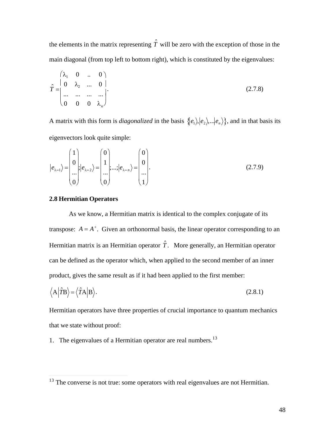the elements in the matrix representing  $\hat{T}$  will be zero with the exception of those in the main diagonal (from top left to bottom right), which is constituted by the eigenvalues:

$$
\hat{T} = \begin{pmatrix}\n\lambda_1 & 0 & \dots & 0 \\
0 & \lambda_2 & \dots & 0 \\
\vdots & \vdots & \ddots & \vdots \\
0 & 0 & 0 & \lambda_n\n\end{pmatrix} .
$$
\n(2.7.8)

A matrix with this form is *diagonalized* in the basis  $\{ |e_1\rangle, |e_2\rangle, ...\, |e_n\rangle \}$ , and in that basis its eigenvectors look quite simple:

$$
|e_{\lambda=1}\rangle = \begin{pmatrix} 1 \\ 0 \\ \dots \\ 0 \end{pmatrix} |e_{\lambda=2}\rangle = \begin{pmatrix} 0 \\ 1 \\ \dots \\ 0 \end{pmatrix} |e_{\lambda=n}\rangle = \begin{pmatrix} 0 \\ 0 \\ \dots \\ 1 \end{pmatrix}.
$$
 (2.7.9)

#### **2.8 Hermitian Operators**

As we know, a Hermitian matrix is identical to the complex conjugate of its transpose:  $A = A^+$ . Given an orthonormal basis, the linear operator corresponding to an Hermitian matrix is an Hermitian operator  $\hat{T}$ . More generally, an Hermitian operator can be defined as the operator which, when applied to the second member of an inner product, gives the same result as if it had been applied to the first member:

$$
\langle A|\hat{T}B\rangle = \langle \hat{T}A|B\rangle.
$$
 (2.8.1)

Hermitian operators have three properties of crucial importance to quantum mechanics that we state without proof:

1. The eigenvalues of a Hermitian operator are real numbers.<sup>13</sup>

 $13$  The converse is not true: some operators with real eigenvalues are not Hermitian.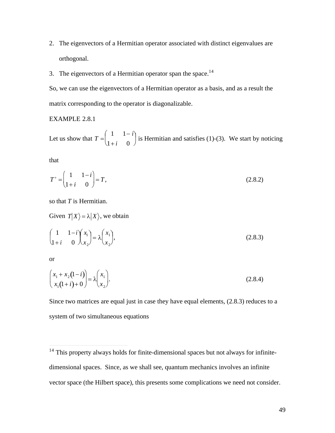- 2. The eigenvectors of a Hermitian operator associated with distinct eigenvalues are orthogonal.
- 3. The eigenvectors of a Hermitian operator span the space.<sup>14</sup>

So, we can use the eigenvectors of a Hermitian operator as a basis, and as a result the matrix corresponding to the operator is diagonalizable.

#### **EXAMPLE 2.8.1**

Let us show that  $T = \begin{pmatrix} 1 & 1-i \\ 1+i & 0 \end{pmatrix}$  is Hermitian and satisfies (1)-(3). We start by noticing

that

$$
T^+ = \begin{pmatrix} 1 & 1-i \\ 1+i & 0 \end{pmatrix} = T,
$$
\n(2.8.2)

so that  $T$  is Hermitian.

Given  $T|X\rangle = \lambda |X\rangle$ , we obtain

$$
\begin{pmatrix} 1 & 1-i \\ 1+i & 0 \end{pmatrix} \begin{pmatrix} x_1 \\ x_2 \end{pmatrix} = \lambda \begin{pmatrix} x_1 \\ x_2 \end{pmatrix},
$$
\n(2.8.3)

**or** 

$$
\begin{pmatrix} x_1 + x_2(1-i) \\ x_1(1+i) + 0 \end{pmatrix} = \lambda \begin{pmatrix} x_1 \\ x_2 \end{pmatrix}.
$$
\n(2.8.4)

Since two matrices are equal just in case they have equal elements, (2.8.3) reduces to a system of two simultaneous equations

<sup>&</sup>lt;sup>14</sup> This property always holds for finite-dimensional spaces but not always for infinitedimensional spaces. Since, as we shall see, quantum mechanics involves an infinite vector space (the Hilbert space), this presents some complications we need not consider.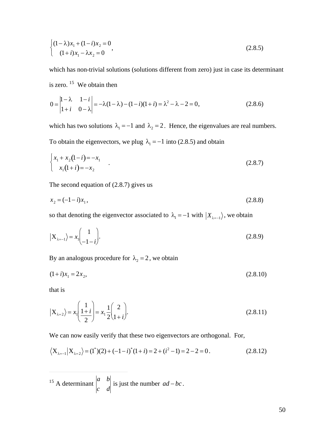$$
\begin{cases} (1 - \lambda)x_1 + (1 - i)x_2 = 0 \\ (1 + i)x_1 - \lambda x_2 = 0 \end{cases}
$$
 (2.8.5)

which has non-trivial solutions (solutions different from zero) just in case its determinant is zero.  $15$  We obtain then

$$
0 = \begin{vmatrix} 1 - \lambda & 1 - i \\ 1 + i & 0 - \lambda \end{vmatrix} = -\lambda (1 - \lambda) - (1 - i)(1 + i) = \lambda^2 - \lambda - 2 = 0,
$$
 (2.8.6)

which has two solutions  $\lambda_1 = -1$  and  $\lambda_2 = 2$ . Hence, the eigenvalues are real numbers. To obtain the eigenvectors, we plug  $\lambda_1 = -1$  into (2.8.5) and obtain

$$
\begin{cases} x_1 + x_2(1 - i) = -x_1 \\ x_1(1 + i) = -x_2 \end{cases}
$$
 (2.8.7)

The second equation of  $(2.8.7)$  gives us

$$
x_2 = (-1 - i)x_1,\tag{2.8.8}
$$

so that denoting the eigenvector associated to  $\lambda_1 = -1$  with  $|X_{\lambda=-1}\rangle$ , we obtain

$$
\left| \mathbf{X}_{\lambda=1} \right\rangle = x_1 \begin{pmatrix} 1 \\ -1 - i \end{pmatrix} . \tag{2.8.9}
$$

By an analogous procedure for  $\lambda_2 = 2$ , we obtain

$$
(1+i)x_1 = 2x_2,\tag{2.8.10}
$$

that is

$$
|\mathbf{X}_{\lambda=2}\rangle = x_1 \left(\frac{1+i}{2}\right) = x_1 \frac{1}{2} \left(\frac{2}{1+i}\right). \tag{2.8.11}
$$

We can now easily verify that these two eigenvectors are orthogonal. For,

$$
\langle X_{\lambda=1} | X_{\lambda=2} \rangle = (1^*) (2) + (-1 - i)^* (1 + i) = 2 + (i^2 - 1) = 2 - 2 = 0.
$$
 (2.8.12)

<sup>15</sup> A determinant  $\begin{vmatrix} a & b \\ c & d \end{vmatrix}$  is just the number  $ad-bc$ .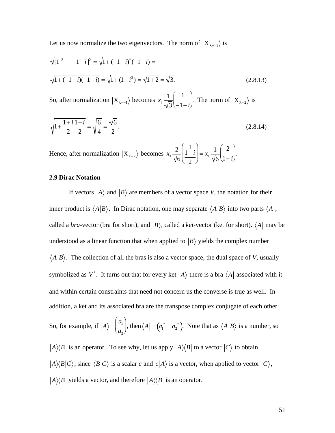Let us now normalize the two eigenvectors. The norm of  $|X_{\lambda=-1}\rangle$  is

$$
\sqrt{|1|^2 + |-1 - i|^2} = \sqrt{1 + (-1 - i)^* (-1 - i)} =
$$
  

$$
\sqrt{1 + (-1 + i)(-1 - i)} = \sqrt{1 + (1 - i^2)} = \sqrt{1 + 2} = \sqrt{3}.
$$
 (2.8.13)

So, after normalization  $|X_{\lambda=-1}\rangle$  becomes  $x_1 \frac{1}{\sqrt{3}}\begin{pmatrix} 1\\-1-i \end{pmatrix}$ . The norm of  $|X_{\lambda=2}\rangle$  is

$$
\sqrt{1 + \frac{1 + i}{2} \cdot \frac{1 - i}{2}} = \sqrt{\frac{6}{4}} = \frac{\sqrt{6}}{2}.
$$
\n(2.8.14)

Hence, after normalization  $|X_{\lambda=2}\rangle$  becomes  $x_1 \frac{2}{\sqrt{6}} \left( \frac{1}{1+i} \right) = x_1 \frac{1}{\sqrt{6}} \left( \frac{2}{1+i} \right)$ .

#### **2.9 Dirac Notation**

If vectors  $|A\rangle$  and  $|B\rangle$  are members of a vector space V, the notation for their inner product is  $\langle A|B \rangle$ . In Dirac notation, one may separate  $\langle A|B \rangle$  into two parts  $\langle A|,$ called a *bra*-vector (bra for short), and  $|B\rangle$ , called a *ket*-vector (ket for short).  $\langle A|$  may be understood as a linear function that when applied to  $|B\rangle$  yields the complex number  $\langle A|B \rangle$ . The collection of all the bras is also a vector space, the dual space of V, usually symbolized as  $V^*$ . It turns out that for every ket  $|A\rangle$  there is a bra  $\langle A|$  associated with it and within certain constraints that need not concern us the converse is true as well. In addition, a ket and its associated bra are the transpose complex conjugate of each other. So, for example, if  $|A\rangle = \begin{pmatrix} a_1 \\ a \end{pmatrix}$ , then  $\langle A| = \begin{pmatrix} a_1^* & a_2^* \end{pmatrix}$ . Note that as  $\langle A|B\rangle$  is a number, so

 $|A\rangle\langle B|$  is an operator. To see why, let us apply  $|A\rangle\langle B|$  to a vector  $|C\rangle$  to obtain  $|A\rangle\langle B|C\rangle$ ; since  $\langle B|C\rangle$  is a scalar c and  $c|A\rangle$  is a vector, when applied to vector  $|C\rangle$ ,

 $|A\rangle\langle B|$  yields a vector, and therefore  $|A\rangle\langle B|$  is an operator.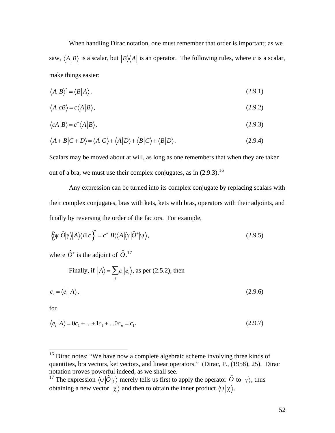When handling Dirac notation, one must remember that order is important; as we saw,  $\langle A|B \rangle$  is a scalar, but  $|B\rangle\langle A|$  is an operator. The following rules, where *c* is a scalar, make things easier:

$$
\langle A|B\rangle^* = \langle B|A\rangle, \tag{2.9.1}
$$

$$
\langle A|cB\rangle = c\langle A|B\rangle, \tag{2.9.2}
$$

$$
\langle cA|B\rangle = c^*\langle A|B\rangle, \tag{2.9.3}
$$

$$
\langle A+B|C+D\rangle = \langle A|C\rangle + \langle A|D\rangle + \langle B|C\rangle + \langle B|D\rangle.
$$
 (2.9.4)

Scalars may be moved about at will, as long as one remembers that when they are taken out of a bra, we must use their complex conjugates, as in  $(2.9.3)$ .<sup>16</sup>

Any expression can be turned into its complex conjugate by replacing scalars with their complex conjugates, bras with kets, kets with bras, operators with their adjoints, and finally by reversing the order of the factors. For example,

$$
\{\!\langle \psi | \hat{O} | \gamma \rangle \! | A \rangle \! \langle B | c \rangle \!\}^* = c^* | B \rangle \! \langle A | \langle \gamma | \hat{O}^* | \psi \rangle,
$$
\n(2.9.5)

where  $\hat{O}^+$  is the adjoint of  $\hat{O}$ .<sup>17</sup>

Finally, if 
$$
|A\rangle = \sum_{i} c_i |e_i\rangle
$$
, as per (2.5.2), then  

$$
c_i = \langle e_i | A \rangle,
$$
(2.9.6)

for

 $\overline{a}$ 

$$
\langle e_i | A \rangle = 0 c_1 + ... + 1 c_1 + ... 0 c_n = c_1.
$$
\n(2.9.7)

<sup>&</sup>lt;sup>16</sup> Dirac notes: "We have now a complete algebraic scheme involving three kinds of quantities, bra vectors, ket vectors, and linear operators." (Dirac, P., (1958), 25). Dirac notation proves powerful indeed, as we shall see.

<sup>&</sup>lt;sup>17</sup> The expression  $\langle \psi | \hat{O} | \gamma \rangle$  merely tells us first to apply the operator  $\hat{O}$  to  $| \gamma \rangle$ , thus obtaining a new vector  $|\chi\rangle$  and then to obtain the inner product  $\langle \psi | \chi \rangle$ .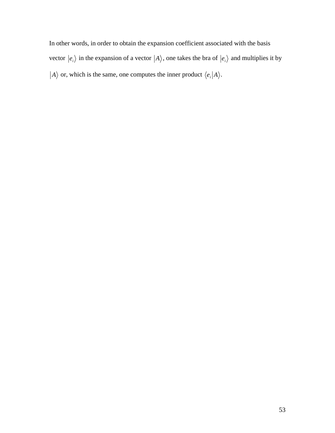In other words, in order to obtain the expansion coefficient associated with the basis vector  $|e_i\rangle$  in the expansion of a vector  $|A\rangle$ , one takes the bra of  $|e_i\rangle$  and multiplies it by *A* $\rangle$  or, which is the same, one computes the inner product  $\langle e_i | A \rangle$ .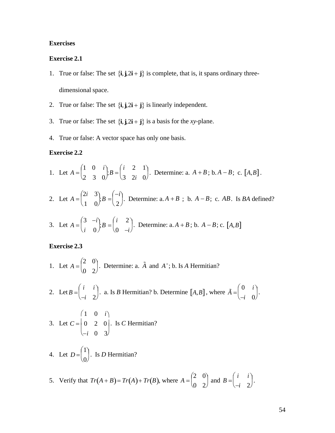#### **Exercises**

#### **Exercise 2.1**

- 1. True or false: The set  $\{\mathbf{i}, \mathbf{j}, 2\mathbf{i} + \mathbf{j}\}$  is complete, that is, it spans ordinary threedimensional space.
- 2. True or false: The set  $\{\mathbf{i}, \mathbf{j}, 2\mathbf{i} + \mathbf{j}\}$  is linearly independent.
- 3. True or false: The set  $\{\mathbf{i}, \mathbf{j}, 2\mathbf{i} + \mathbf{j}\}$  is a basis for the *xy*-plane.
- 4. True or false: A vector space has only one basis.

#### **Exercise 2.2**

1. Let 
$$
A = \begin{pmatrix} 1 & 0 & i \\ 2 & 3 & 0 \end{pmatrix}
$$
;  $B = \begin{pmatrix} i & 2 & 1 \\ 3 & 2i & 0 \end{pmatrix}$ . Determine: a.  $A + B$ ; b.  $A - B$ ; c. [A, B].

2. Let 
$$
A = \begin{pmatrix} 2i & 3 \\ 1 & 0 \end{pmatrix}
$$
;  $B = \begin{pmatrix} -i \\ 2 \end{pmatrix}$ . Determine:  $a \cdot A + B$ ;  $b \cdot A - B$ ;  $c \cdot AB$ . Is *BA* defined?

3. Let 
$$
A = \begin{pmatrix} 3 & -i \ i & 0 \end{pmatrix}
$$
;  $B = \begin{pmatrix} i & 2 \ 0 & -i \end{pmatrix}$ . Determine:  $a, A + B$ ;  $b, A - B$ ;  $c, [A, B]$ 

### **Exercise 2.3**

1. Let 
$$
A = \begin{pmatrix} 2 & 0 \\ 0 & 2 \end{pmatrix}
$$
. Determine: a.  $\tilde{A}$  and  $A^+$ ; b. Is A Hermitian?

2. Let 
$$
B = \begin{pmatrix} i & i \\ -i & 2 \end{pmatrix}
$$
. a. Is *B* Hermitian? b. Determine  $[A, B]$ , where  $\tilde{A} = \begin{pmatrix} 0 & i \\ -i & 0 \end{pmatrix}$ .

3. Let 
$$
C = \begin{pmatrix} 1 & 0 & i \\ 0 & 2 & 0 \\ -i & 0 & 3 \end{pmatrix}
$$
. Is C Hermitian?

4. Let  $D = \begin{pmatrix} 1 \\ 0 \end{pmatrix}$ . Is D Hermitian?

5. Verify that 
$$
Tr(A + B) = Tr(A) + Tr(B)
$$
, where  $A = \begin{pmatrix} 2 & 0 \\ 0 & 2 \end{pmatrix}$  and  $B = \begin{pmatrix} i & i \\ -i & 2 \end{pmatrix}$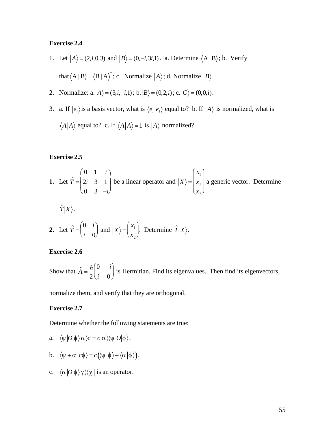#### **Exercise 2.4**

- 1. Let  $|A\rangle = (2, i, 0, 3)$  and  $|B\rangle = (0, -i, 3i, 1)$ . a. Determine  $\langle A | B \rangle$ ; b. Verify that  $\langle A | B \rangle = \langle B | A \rangle^*$ ; c. Normalize  $|A \rangle$ ; d. Normalize  $|B \rangle$ .
- 2. Normalize: a.  $|A\rangle = (3,i,-i,1)$ ; b.  $|B\rangle = (0,2,i)$ ; c.  $|C\rangle = (0,0,i)$ .
- 3. a. If  $|e_i\rangle$  is a basis vector, what is  $\langle e_i|e_i\rangle$  equal to? b. If  $|A\rangle$  is normalized, what is  $\langle A|A \rangle$  equal to? c. If  $\langle A|A \rangle = 1$  is  $|A \rangle$  normalized?

#### **Exercise 2.5**

**1.** Let 
$$
\hat{T} = \begin{pmatrix} 0 & 1 & i \\ 2i & 3 & 1 \\ 0 & 3 & -i \end{pmatrix}
$$
 be a linear operator and  $|X\rangle = \begin{pmatrix} x_1 \\ x_2 \\ x_3 \end{pmatrix}$  a generic vector. Determine

 $\hat{T}|X\rangle.$ 

2. Let 
$$
\hat{T} = \begin{pmatrix} 0 & i \\ i & 0 \end{pmatrix}
$$
 and  $|X\rangle = \begin{pmatrix} x_1 \\ x_2 \end{pmatrix}$ . Determine  $\hat{T}|X\rangle$ .

#### **Exercise 2.6**

Show that  $\hat{A} = \frac{\hbar}{2} \begin{pmatrix} 0 & -i \\ i & 0 \end{pmatrix}$  is Hermitian. Find its eigenvalues. Then find its eigenvectors,

normalize them, and verify that they are orthogonal.

#### **Exercise 2.7**

Determine whether the following statements are true:

$$
\text{a.}\quad \langle \psi\, | O |\phi\, \rangle\!\rangle \alpha \, \rangle \ \ =c\, |\alpha\,\rangle\!\langle \psi\, | O |\phi\,\rangle\,.
$$

- b.  $\langle \psi + \alpha | c \phi \rangle = c(\langle \psi | \phi \rangle + \langle \alpha | \phi \rangle).$
- c.  $\langle \alpha | O | \phi \rangle | \gamma \rangle \langle \chi |$  is an operator.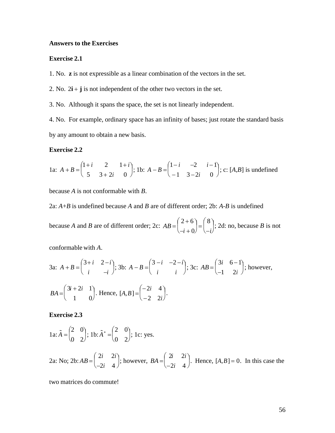#### **Answers to the Exercises**

#### **Exercise 2.1**

1. No. z is not expressible as a linear combination of the vectors in the set.

2. No.  $2\mathbf{i} + \mathbf{j}$  is not independent of the other two vectors in the set.

3. No. Although it spans the space, the set is not linearly independent.

4. No. For example, ordinary space has an infinity of bases; just rotate the standard basis by any amount to obtain a new basis.

#### **Exercise 2.2**

1a: 
$$
A + B = \begin{pmatrix} 1+i & 2 & 1+i \\ 5 & 3+2i & 0 \end{pmatrix}
$$
; 1b:  $A - B = \begin{pmatrix} 1-i & -2 & i-1 \\ -1 & 3-2i & 0 \end{pmatrix}$ ; c: [A,B] is undefined

because  $A$  is not conformable with  $B$ .

2a:  $A+B$  is undefined because A and B are of different order; 2b: A-B is undefined

because A and B are of different order; 2c:  $AB = \begin{pmatrix} 2+6 \\ -i+0 \end{pmatrix} = \begin{pmatrix} 8 \\ -i \end{pmatrix}$ ; 2d: no, because B is not

conformable with  $A$ .

3a: 
$$
A + B = \begin{pmatrix} 3+i & 2-i \\ i & -i \end{pmatrix}
$$
; 3b:  $A - B = \begin{pmatrix} 3-i & -2-i \\ i & i \end{pmatrix}$ ; 3c:  $AB = \begin{pmatrix} 3i & 6-1 \\ -1 & 2i \end{pmatrix}$ ; however,  
 $BA = \begin{pmatrix} 3i + 2i & 1 \\ 1 & 0 \end{pmatrix}$ . Hence,  $[A, B] = \begin{pmatrix} -2i & 4 \\ -2 & 2i \end{pmatrix}$ .

**Exercise 2.3** 

1a: 
$$
\tilde{A} = \begin{pmatrix} 2 & 0 \\ 0 & 2 \end{pmatrix}
$$
; 1b:  $\tilde{A}^* = \begin{pmatrix} 2 & 0 \\ 0 & 2 \end{pmatrix}$ ; 1c: yes.  
2a: No; 2b:  $AB = \begin{pmatrix} 2i & 2i \\ -2i & 4 \end{pmatrix}$ ; however,  $BA = \begin{pmatrix} 2i & 2i \\ -2i & 4 \end{pmatrix}$ . Hence,  $[A, B] = 0$ . In this case the

two matrices do commute!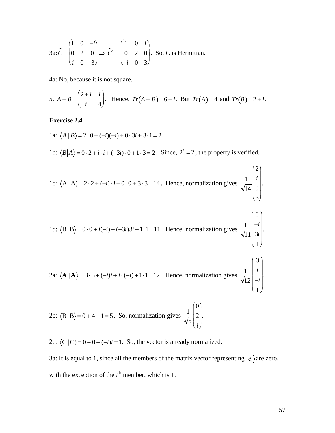$$
3a: \tilde{C} = \begin{pmatrix} 1 & 0 & -i \\ 0 & 2 & 0 \\ i & 0 & 3 \end{pmatrix} \Rightarrow \tilde{C}^* = \begin{pmatrix} 1 & 0 & i \\ 0 & 2 & 0 \\ -i & 0 & 3 \end{pmatrix}.
$$
 So, *C* is Hermitian.

4a: No, because it is not square.

5. 
$$
A + B = \begin{pmatrix} 2+i & i \\ i & 4 \end{pmatrix}
$$
. Hence,  $Tr(A + B) = 6 + i$ . But  $Tr(A) = 4$  and  $Tr(B) = 2 + i$ .

#### **Exercise 2.4**

1a:  $\langle A | B \rangle = 2 \cdot 0 + (-i)(-i) + 0 \cdot 3i + 3 \cdot 1 = 2$ . 1b:  $\langle B|A\rangle = 0.2 + i \cdot i + (-3i) \cdot 0 + 1 \cdot 3 = 2$ . Since,  $2^* = 2$ , the property is verified. 1c:  $\langle A | A \rangle = 2 \cdot 2 + (-i) \cdot i + 0 \cdot 0 + 3 \cdot 3 = 14$ . Hence, normalization gives  $\frac{1}{\sqrt{14}} \begin{bmatrix} 2 \\ i \\ 0 \\ 3 \end{bmatrix}$ . 1d:  $\langle B | B \rangle = 0.0 + i(-i) + (-3i)3i + 1.1 = 11$ . Hence, normalization gives  $\frac{1}{\sqrt{11}} \begin{bmatrix} 0 \\ -i \\ 3i \end{bmatrix}$ .

2a: 
$$
\langle \mathbf{A} | \mathbf{A} \rangle = 3 \cdot 3 + (-i)i + i \cdot (-i) + 1 \cdot 1 = 12
$$
. Hence, normalization gives  $\frac{1}{\sqrt{12}} \begin{bmatrix} 3 \\ i \\ -i \\ 1 \end{bmatrix}$ .

2b: 
$$
\langle B | B \rangle = 0 + 4 + 1 = 5
$$
. So, normalization gives  $\frac{1}{\sqrt{5}} \begin{pmatrix} 0 \\ 2 \\ i \end{pmatrix}$ 

2c:  $\langle C | C \rangle = 0 + 0 + (-i)i = 1$ . So, the vector is already normalized.

3a: It is equal to 1, since all the members of the matrix vector representing  $|e_i\rangle$  are zero, with the exception of the  $i<sup>th</sup>$  member, which is 1.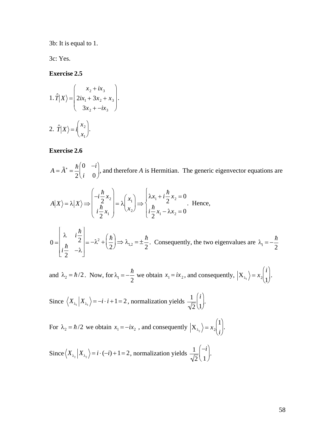3b: It is equal to 1.

3c: Yes.

#### **Exercise 2.5**

1. 
$$
\hat{T}|X\rangle = \begin{pmatrix} x_2 + ix_3 \\ 2ix_1 + 3x_2 + x_3 \\ 3x_2 + -ix_3 \end{pmatrix}
$$
  
2.  $\hat{T}|X\rangle = i\begin{pmatrix} x_2 \\ x_1 \end{pmatrix}$ .

#### **Exercise 2.6**

 $A = \tilde{A}^* = \frac{\hbar}{2} \begin{pmatrix} 0 & -i \\ i & 0 \end{pmatrix}$ , and therefore A is Hermitian. The generic eigenvector equations are

$$
A|X\rangle = \lambda |X\rangle \Longrightarrow \begin{pmatrix} -i\frac{\hbar}{2}x_2 \\ i\frac{\hbar}{2}x_1 \end{pmatrix} = \lambda \begin{pmatrix} x_1 \\ x_2 \end{pmatrix} \Longrightarrow \begin{cases} \lambda x_1 + i\frac{\hbar}{2}x_2 = 0 \\ i\frac{\hbar}{2}x_1 - \lambda x_2 = 0 \end{cases}
$$
 Hence,

$$
0 = \begin{bmatrix} \lambda & i\frac{\hbar}{2} \\ i\frac{\hbar}{2} & -\lambda \end{bmatrix} = -\lambda^2 + \left(\frac{\hbar}{2}\right) \Rightarrow \lambda_{1,2} = \pm \frac{\hbar}{2}.
$$
 Consequently, the two eigenvalues are  $\lambda_1 = -\frac{\hbar}{2}$ 

and  $\lambda_2 = \hbar/2$ . Now, for  $\lambda_1 = -\frac{\hbar}{2}$  we obtain  $x_1 = ix_2$ , and consequently,  $\left| X_{\lambda_1} \right\rangle = x_2 \begin{pmatrix} i \\ 1 \end{pmatrix}$ .

Since  $\langle X_{\lambda_1} | X_{\lambda_2} \rangle = -i \cdot i + 1 = 2$ , normalization yields  $\frac{1}{\sqrt{2}} \begin{pmatrix} i \\ 1 \end{pmatrix}$ .

For  $\lambda_2 = \hbar/2$  we obtain  $x_1 = -ix_2$ , and consequently  $\left| X_{\lambda_2} \right\rangle = x_2 \begin{pmatrix} 1 \\ i \end{pmatrix}$ .

Since 
$$
\langle X_{\lambda_2} | X_{\lambda_2} \rangle = i \cdot (-i) + 1 = 2
$$
, normalization yields  $\frac{1}{\sqrt{2}} \begin{pmatrix} -i \\ 1 \end{pmatrix}$ .